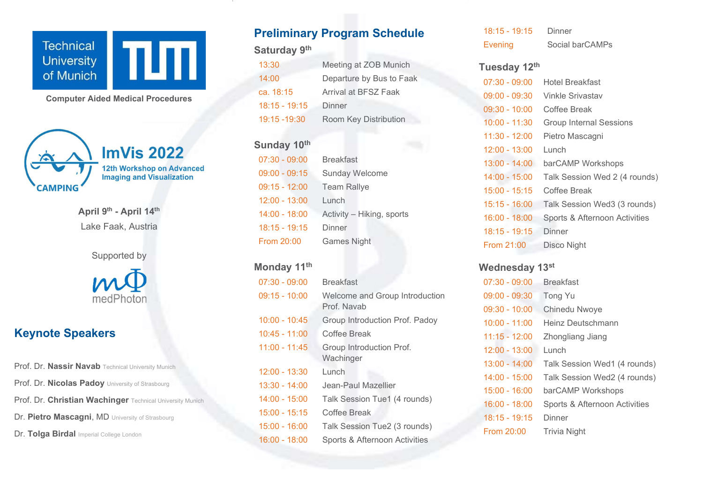

Computer Aided Medical Procedures



April 9<sup>th</sup> - April 14<sup>th</sup> Lake Faak, Austria



# Keynote Speakers

Prof. Dr. Nassir Navab Technical University Munich Prof. Dr. Nicolas Padoy University of Strasbourg Prof. Dr. Christian Wachinger Technical University Munich Dr. Pietro Mascagni, MD University of Strasbourg Dr. Tolga Birdal Imperial College London

# Preliminary Program Schedule

### Saturday 9<sup>th</sup>

| 13:30           | Meeting at ZOB Munich    |
|-----------------|--------------------------|
| 14:00           | Departure by Bus to Faak |
| ca. 18:15       | Arrival at BFSZ Faak     |
| $18:15 - 19:15$ | Dinner                   |
| 19:15 - 19:30   | Room Key Distribution    |

### Sunday 10th

| 07:30 - 09:00   | <b>Breakfast</b>          |
|-----------------|---------------------------|
| $09:00 - 09:15$ | <b>Sunday Welcome</b>     |
| 09:15 - 12:00   | <b>Team Rallye</b>        |
| $12:00 - 13:00$ | Lunch                     |
| 14:00 - 18:00   | Activity - Hiking, sports |
| 18:15 - 19:15   | Dinner                    |
| From 20:00      | <b>Games Night</b>        |

#### Monday 11<sup>th</sup>

| $07:30 - 09:00$ | <b>Breakfast</b>                              |
|-----------------|-----------------------------------------------|
| 09:15 - 10:00   | Welcome and Group Introduction<br>Prof. Navab |
| $10:00 - 10:45$ | Group Introduction Prof. Padoy                |
| $10:45 - 11:00$ | Coffee Break                                  |
| $11:00 - 11:45$ | Group Introduction Prof.<br>Wachinger         |
| $12:00 - 13:30$ | Lunch                                         |
| 13:30 - 14:00   | Jean-Paul Mazellier                           |
| $14:00 - 15:00$ | Talk Session Tue1 (4 rounds)                  |
| $15:00 - 15:15$ | Coffee Break                                  |
| $15:00 - 16:00$ | Talk Session Tue2 (3 rounds)                  |
| 16:00 - 18:00   | Sports & Afternoon Activities                 |

| $18:15 - 19:15$ | Dinner          |
|-----------------|-----------------|
| <b>Evening</b>  | Social barCAMPs |

#### Tuesday 12th

| $07:30 - 09:00$ | Hotel Breakfast               |
|-----------------|-------------------------------|
| $09:00 - 09:30$ | Vinkle Srivastav              |
| $09:30 - 10:00$ | Coffee Break                  |
| 10:00 - 11:30   | Group Internal Sessions       |
| 11:30 - 12:00   | Pietro Mascagni               |
| 12:00 - 13:00   | Lunch                         |
| 13:00 - 14:00   | barCAMP Workshops             |
| 14:00 - 15:00   | Talk Session Wed 2 (4 rounds) |
| 15:00 - 15:15   | Coffee Break                  |
| 15:15 - 16:00   | Talk Session Wed3 (3 rounds)  |
| 16:00 - 18:00   | Sports & Afternoon Activities |
| 18:15 - 19:15   | Dinner                        |
| From 21:00      | Disco Night                   |

### Wednesday 13st

| $07:30 - 09:00$ | <b>Breakfast</b>              |
|-----------------|-------------------------------|
| $09:00 - 09:30$ | <b>Tong Yu</b>                |
| $09:30 - 10:00$ | Chinedu Nwoye                 |
| $10:00 - 11:00$ | Heinz Deutschmann             |
| $11:15 - 12:00$ | Zhongliang Jiang              |
| $12:00 - 13:00$ | Lunch                         |
| $13:00 - 14:00$ | Talk Session Wed1 (4 rounds)  |
| $14:00 - 15:00$ | Talk Session Wed2 (4 rounds)  |
| 15:00 - 16:00   | barCAMP Workshops             |
| $16:00 - 18:00$ | Sports & Afternoon Activities |
| 18:15 - 19:15   | Dinner                        |
| From 20:00      | Trivia Night                  |